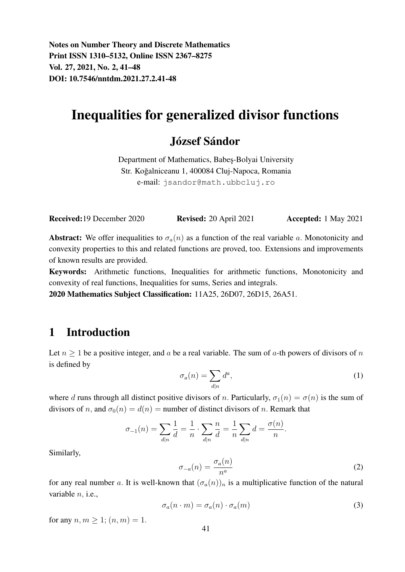Notes on Number Theory and Discrete Mathematics Print ISSN 1310–5132, Online ISSN 2367–8275 Vol. 27, 2021, No. 2, 41–48 DOI: 10.7546/nntdm.2021.27.2.41-48

# Inequalities for generalized divisor functions

## József Sándor

Department of Mathematics, Babes-Bolyai University Str. Koğalniceanu 1, 400084 Cluj-Napoca, Romania e-mail: jsandor@math.ubbcluj.ro

Received: 19 December 2020 Revised: 20 April 2021 Accepted: 1 May 2021

**Abstract:** We offer inequalities to  $\sigma_a(n)$  as a function of the real variable a. Monotonicity and convexity properties to this and related functions are proved, too. Extensions and improvements of known results are provided.

Keywords: Arithmetic functions, Inequalities for arithmetic functions, Monotonicity and convexity of real functions, Inequalities for sums, Series and integrals.

2020 Mathematics Subject Classification: 11A25, 26D07, 26D15, 26A51.

#### 1 Introduction

Let  $n \geq 1$  be a positive integer, and a be a real variable. The sum of a-th powers of divisors of n is defined by

$$
\sigma_a(n) = \sum_{d|n} d^a,\tag{1}
$$

where d runs through all distinct positive divisors of n. Particularly,  $\sigma_1(n) = \sigma(n)$  is the sum of divisors of n, and  $\sigma_0(n) = d(n)$  = number of distinct divisors of n. Remark that

$$
\sigma_{-1}(n) = \sum_{d|n} \frac{1}{d} = \frac{1}{n} \cdot \sum_{d|n} \frac{n}{d} = \frac{1}{n} \sum_{d|n} d = \frac{\sigma(n)}{n}.
$$

Similarly,

$$
\sigma_{-a}(n) = \frac{\sigma_a(n)}{n^a} \tag{2}
$$

for any real number a. It is well-known that  $(\sigma_a(n))_n$  is a multiplicative function of the natural variable  $n$ , i.e.,

$$
\sigma_a(n \cdot m) = \sigma_a(n) \cdot \sigma_a(m) \tag{3}
$$

for any  $n, m \geq 1$ ;  $(n, m) = 1$ .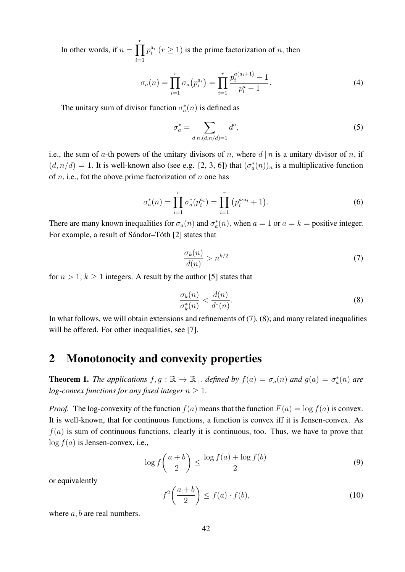In other words, if  $n = \prod_{r=1}^{r}$  $i=1$  $p_i^{a_i}$   $(r \ge 1)$  is the prime factorization of n, then

$$
\sigma_a(n) = \prod_{i=1}^r \sigma_a(p_i^{a_i}) = \prod_{i=1}^r \frac{p_i^{a(a_i+1)} - 1}{p_i^a - 1}.
$$
\n(4)

The unitary sum of divisor function  $\sigma_a^*(n)$  is defined as

$$
\sigma_a^* = \sum_{d|n,(d,n/d)=1} d^a,\tag{5}
$$

i.e., the sum of a-th powers of the unitary divisors of n, where  $d | n$  is a unitary divisor of n, if  $(d, n/d) = 1$ . It is well-known also (see e.g. [2, 3, 6]) that  $(\sigma_a^*(n))_n$  is a multiplicative function of  $n$ , i.e., fot the above prime factorization of  $n$  one has

$$
\sigma_a^*(n) = \prod_{i=1}^r \sigma_a^*(p_i^{a_i}) = \prod_{i=1}^r (p_i^{a \cdot a_i} + 1).
$$
 (6)

There are many known inequalities for  $\sigma_a(n)$  and  $\sigma_a^*(n)$ , when  $a = 1$  or  $a = k$  = positive integer. For example, a result of Sándor–Tóth [2] states that

$$
\frac{\sigma_k(n)}{d(n)} > n^{k/2} \tag{7}
$$

for  $n > 1$ ,  $k \ge 1$  integers. A result by the author [5] states that

$$
\frac{\sigma_k(n)}{\sigma_k^*(n)} < \frac{d(n)}{d^*(n)}.\tag{8}
$$

In what follows, we will obtain extensions and refinements of (7), (8); and many related inequalities will be offered. For other inequalities, see [7].

## 2 Monotonocity and convexity properties

**Theorem 1.** *The applications*  $f, g : \mathbb{R} \to \mathbb{R}_+$ , *defined by*  $f(a) = \sigma_a(n)$  *and*  $g(a) = \sigma_a^*(n)$  *are log-convex functions for any fixed integer*  $n \geq 1$ .

*Proof.* The log-convexity of the function  $f(a)$  means that the function  $F(a) = \log f(a)$  is convex. It is well-known, that for continuous functions, a function is convex iff it is Jensen-convex. As  $f(a)$  is sum of continuous functions, clearly it is continuous, too. Thus, we have to prove that  $log f(a)$  is Jensen-convex, i.e.,

$$
\log f\left(\frac{a+b}{2}\right) \le \frac{\log f(a) + \log f(b)}{2} \tag{9}
$$

or equivalently

$$
f^{2}\left(\frac{a+b}{2}\right) \le f(a) \cdot f(b),\tag{10}
$$

where  $a, b$  are real numbers.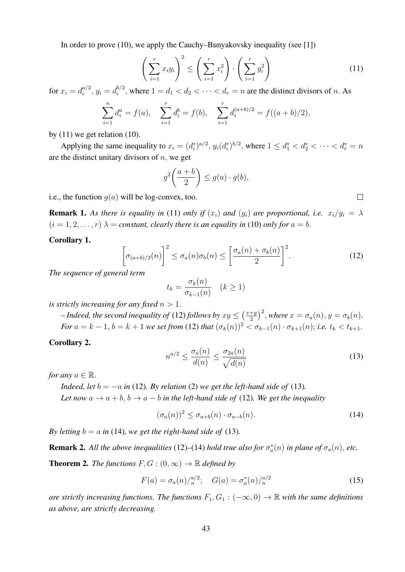In order to prove (10), we apply the Cauchy–Bunyakovsky inequality (see [1])

$$
\left(\sum_{i=1}^r x_i y_i\right)^2 \le \left(\sum_{i=1}^r x_i^2\right) \cdot \left(\sum_{i=1}^r y_i^2\right) \tag{11}
$$

for  $x_i = d_i^{a/2}$  $a_i^{a/2}, y_i = d_i^{b/2}$  $i^{0/2}$ , where  $1 = d_1 < d_2 < \cdots < d_r = n$  are the distinct divisors of n. As

$$
\sum_{i=1}^{n} d_i^a = f(a), \quad \sum_{i=1}^{r} d_i^b = f(b), \quad \sum_{i=1}^{r} d_i^{(a+b)/2} = f((a+b)/2),
$$

by  $(11)$  we get relation  $(10)$ .

Applying the same inequality to  $x_i = (d_i^*)^{a/2}$ ,  $y_i(d_i^*)^{b/2}$ , where  $1 \le d_1^* < d_2^* < \cdots < d_r^* = n$ are the distinct unitary divisors of  $n$ , we get

$$
g^2\left(\frac{a+b}{2}\right) \le g(a) \cdot g(b),
$$

i.e., the function  $q(a)$  will be log-convex, too.

**Remark 1.** As there is equality in (11) only if  $(x_i)$  and  $(y_i)$  are proportional, i.e.  $x_i/y_i = \lambda$  $(i = 1, 2, \ldots, r)$   $\lambda$  = *constant, clearly there is an equality in* (10) *only for*  $a = b$ .

Corollary 1.

$$
\left[\sigma_{(a+b)/2}(n)\right]^2 \le \sigma_a(n)\sigma_b(n) \le \left[\frac{\sigma_a(n) + \sigma_b(n)}{2}\right]^2.
$$
 (12)

*The sequence of general term*

$$
t_k = \frac{\sigma_k(n)}{\sigma_{k-1}(n)} \quad (k \ge 1)
$$

*is strictly increasing for any fixed*  $n > 1$ .

 $-$  *Indeed, the second inequality of* (12) *follows by*  $xy \leq \left(\frac{x+y}{2}\right)$  $\left(\frac{+y}{2}\right)^2$ , where  $x = \sigma_a(n)$ ,  $y = \sigma_b(n)$ . *For*  $a = k - 1$ ,  $b = k + 1$  *we set from* (12) *that*  $(\sigma_k(n))^2 < \sigma_{k-1}(n) \cdot \sigma_{k+1}(n)$ ; *i.e.*  $t_k < t_{k+1}$ .

Corollary 2.

$$
n^{a/2} \le \frac{\sigma_a(n)}{d(n)} \le \frac{\sigma_{2a}(n)}{\sqrt{d(n)}}\tag{13}
$$

*for any*  $a \in \mathbb{R}$ .

*Indeed, let*  $b = -a$  *in* (12)*. By relation* (2) *we get the left-hand side of* (13)*. Let now*  $a \rightarrow a + b$ ,  $b \rightarrow a - b$  *in the left-hand side of* (12)*. We get the inequality* 

$$
(\sigma_a(n))^2 \le \sigma_{a+b}(n) \cdot \sigma_{a-b}(n). \tag{14}
$$

*By letting*  $b = a$  *in* (14)*, we get the right-hand side of* (13)*.* 

**Remark 2.** All the above inequalities (12)–(14) hold true also for  $\sigma_a^*(n)$  in plane of  $\sigma_a(n)$ , etc.

**Theorem 2.** *The functions*  $F, G : (0, \infty) \to \mathbb{R}$  *defined by* 

$$
F(a) = \sigma_a(n) / \binom{n}{2}; \quad G(a) = \sigma_a^*(n) / \binom{n}{2}
$$
 (15)

*are strictly increasing functions. The functions*  $F_1, G_1 : (-\infty, 0) \to \mathbb{R}$  *with the same definitions as above, are strictly decreasing.*

 $\Box$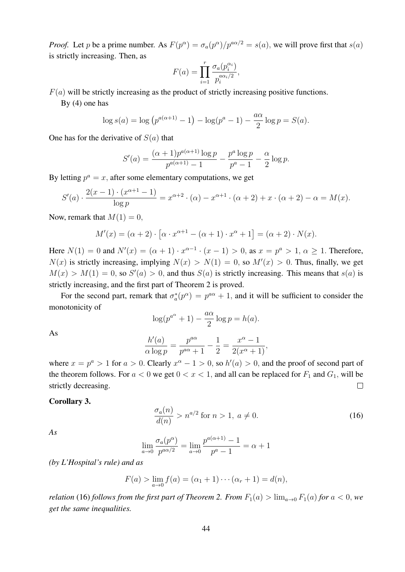*Proof.* Let p be a prime number. As  $F(p^{\alpha}) = \frac{\sigma_a(p^{\alpha})}{p^{a\alpha}} = s(a)$ , we will prove first that  $s(a)$ is strictly increasing. Then, as

$$
F(a) = \prod_{i=1}^r \frac{\sigma_a(p_i^{\alpha_i})}{p_i^{a\alpha_i/2}},
$$

 $F(a)$  will be strictly increasing as the product of strictly increasing positive functions.

By (4) one has

$$
\log s(a) = \log (p^{a(\alpha+1)} - 1) - \log(p^{a} - 1) - \frac{a\alpha}{2} \log p = S(a).
$$

One has for the derivative of  $S(a)$  that

$$
S'(a) = \frac{(\alpha+1)p^{a(\alpha+1)}\log p}{p^{a(\alpha+1)}-1} - \frac{p^a\log p}{p^a-1} - \frac{\alpha}{2}\log p.
$$

By letting  $p^a = x$ , after some elementary computations, we get

$$
S'(a) \cdot \frac{2(x-1) \cdot (x^{\alpha+1} - 1)}{\log p} = x^{\alpha+2} \cdot (\alpha) - x^{\alpha+1} \cdot (\alpha+2) + x \cdot (\alpha+2) - \alpha = M(x).
$$

Now, remark that  $M(1) = 0$ ,

$$
M'(x) = (\alpha + 2) \cdot [\alpha \cdot x^{\alpha+1} - (\alpha + 1) \cdot x^{\alpha} + 1] = (\alpha + 2) \cdot N(x).
$$

Here  $N(1) = 0$  and  $N'(x) = (\alpha + 1) \cdot x^{\alpha-1} \cdot (x - 1) > 0$ , as  $x = p^{\alpha} > 1$ ,  $\alpha \ge 1$ . Therefore,  $N(x)$  is strictly increasing, implying  $N(x) > N(1) = 0$ , so  $M'(x) > 0$ . Thus, finally, we get  $M(x) > M(1) = 0$ , so  $S'(a) > 0$ , and thus  $S(a)$  is strictly increasing. This means that  $s(a)$  is strictly increasing, and the first part of Theorem 2 is proved.

For the second part, remark that  $\sigma_a^*(p^{\alpha}) = p^{a\alpha} + 1$ , and it will be sufficient to consider the monotonicity of

$$
\log(p^{a^{\alpha}} + 1) - \frac{a\alpha}{2}\log p = h(a).
$$

As

$$
\frac{h'(a)}{\alpha \log p} = \frac{p^{a\alpha}}{p^{a\alpha} + 1} - \frac{1}{2} = \frac{x^{\alpha} - 1}{2(x^{\alpha} + 1)},
$$

where  $x = p^a > 1$  for  $a > 0$ . Clearly  $x^{\alpha} - 1 > 0$ , so  $h'(a) > 0$ , and the proof of second part of the theorem follows. For  $a < 0$  we get  $0 < x < 1$ , and all can be replaced for  $F_1$  and  $G_1$ , will be strictly decreasing.  $\Box$ 

#### Corollary 3.

$$
\frac{\sigma_a(n)}{d(n)} > n^{a/2} \text{ for } n > 1, \ a \neq 0. \tag{16}
$$

*As*

$$
\lim_{a \to 0} \frac{\sigma_a(p^{\alpha})}{p^{a\alpha/2}} = \lim_{a \to 0} \frac{p^{a(\alpha+1)} - 1}{p^a - 1} = \alpha + 1
$$

*(by L'Hospital's rule) and as*

$$
F(a) > \lim_{a \to 0} f(a) = (\alpha_1 + 1) \cdots (\alpha_r + 1) = d(n),
$$

*relation* (16) *follows from the first part of Theorem 2. From*  $F_1(a) > \lim_{a\to 0} F_1(a)$  *for*  $a < 0$ *, we get the same inequalities.*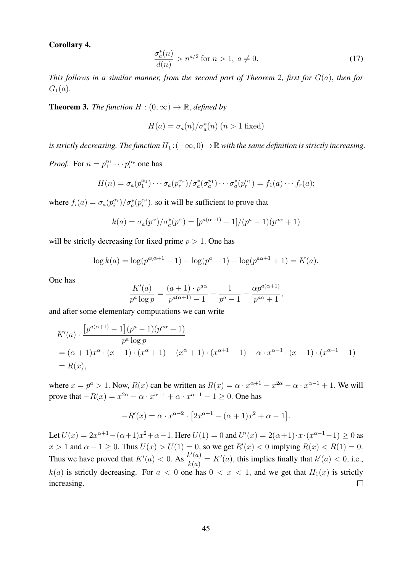Corollary 4.

$$
\frac{\sigma_a^*(n)}{d(n)} > n^{a/2} \text{ for } n > 1, \ a \neq 0. \tag{17}
$$

*This follows in a similar manner, from the second part of Theorem 2, first for* G(a), *then for*  $G_1(a)$ .

**Theorem 3.** *The function*  $H : (0, \infty) \to \mathbb{R}$ , *defined by* 

$$
H(a) = \sigma_a(n)/\sigma_a^*(n)
$$
 (n > 1 fixed)

*is strictly decreasing. The function*  $H_1$ :  $(-\infty, 0) \to \mathbb{R}$  *with the same definition is strictly increasing.* 

*Proof.* For  $n = p_1^{\alpha_1} \cdots p_r^{\alpha_r}$  one has

$$
H(n) = \sigma_a(p_1^{\alpha_1}) \cdots \sigma_a(p_r^{\alpha_r}) / \sigma_a^*(\sigma_a^{p_1}) \cdots \sigma_a^*(p_r^{\alpha_1}) = f_1(a) \cdots f_r(a);
$$

where  $f_i(a) = \frac{\sigma_a(p_i^{\alpha_i})}{\sigma_a^*(p_i^{\alpha_i})}$ , so it will be sufficient to prove that

$$
k(a) = \frac{\sigma_a(p^{\alpha})}{\sigma_a^*(p^{\alpha})} = \frac{p^{a(\alpha+1)} - 1}{p^a - 1} \frac{p^{a\alpha} + 1}{p^a - 1}
$$

will be strictly decreasing for fixed prime  $p > 1$ . One has

$$
\log k(a) = \log(p^{a(\alpha+1)} - 1) - \log(p^a - 1) - \log(p^{a\alpha+1} + 1) = K(a).
$$

One has

$$
\frac{K'(a)}{p^a \log p} = \frac{(a+1) \cdot p^{a\alpha}}{p^{a(\alpha+1)} - 1} - \frac{1}{p^a - 1} - \frac{\alpha p^{a(\alpha+1)}}{p^{a\alpha} + 1},
$$

and after some elementary computations we can write

$$
K'(a) \cdot \frac{[p^{a(\alpha+1)} - 1](p^a - 1)(p^{a\alpha} + 1)}{p^a \log p}
$$
  
= (\alpha + 1)x^{\alpha} \cdot (x - 1) \cdot (x^{\alpha} + 1) - (x^{\alpha} + 1) \cdot (x^{\alpha+1} - 1) - \alpha \cdot x^{\alpha-1} \cdot (x - 1) \cdot (x^{\alpha+1} - 1)  
= R(x),

where  $x = p^a > 1$ . Now,  $R(x)$  can be written as  $R(x) = \alpha \cdot x^{\alpha+1} - x^{2\alpha} - \alpha \cdot x^{\alpha-1} + 1$ . We will prove that  $-R(x) = x^{2\alpha} - \alpha \cdot x^{\alpha+1} + \alpha \cdot x^{\alpha-1} - 1 \ge 0$ . One has

$$
-R'(x) = \alpha \cdot x^{\alpha - 2} \cdot [2x^{\alpha + 1} - (\alpha + 1)x^{2} + \alpha - 1].
$$

Let  $U(x) = 2x^{\alpha+1} - (\alpha+1)x^2 + \alpha - 1$ . Here  $U(1) = 0$  and  $U'(x) = 2(\alpha+1) \cdot x \cdot (x^{\alpha-1}-1) \ge 0$  as  $x > 1$  and  $\alpha - 1 \ge 0$ . Thus  $U(x) > U(1) = 0$ , so we get  $R'(x) < 0$  implying  $R(x) < R(1) = 0$ . Thus we have proved that  $K'(a) < 0$ . As  $\frac{k'(a)}{k(a)}$  $\frac{\partial k(a)}{\partial k(a)} = K'(a)$ , this implies finally that  $k'(a) < 0$ , i.e.,  $k(a)$  is strictly decreasing. For  $a < 0$  one has  $0 < x < 1$ , and we get that  $H_1(x)$  is strictly increasing.  $\Box$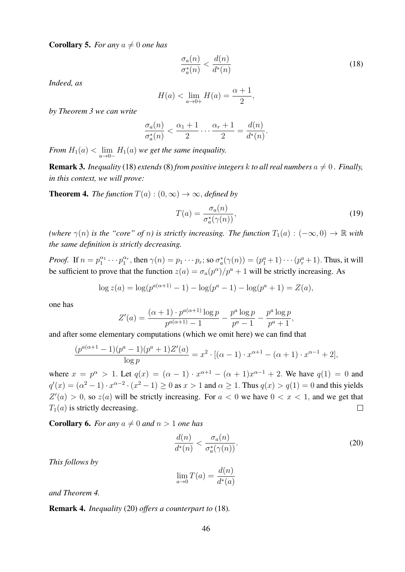**Corollary 5.** *For any*  $a \neq 0$  *one has* 

$$
\frac{\sigma_a(n)}{\sigma_a^*(n)} < \frac{d(n)}{d^*(n)}\tag{18}
$$

*Indeed, as*

$$
H(a) < \lim_{a \to 0+} H(a) = \frac{\alpha+1}{2},
$$

*by Theorem 3 we can write*

$$
\frac{\sigma_a(n)}{\sigma_a^*(n)} < \frac{\alpha_1+1}{2} \cdots \frac{\alpha_r+1}{2} = \frac{d(n)}{d^*(n)}.
$$

*From*  $H_1(a) < \lim_{a \to 0^-} H_1(a)$  *we get the same inequality.* 

**Remark 3.** *Inequality* (18) *extends* (8) *from positive integers* k *to all real numbers*  $a \neq 0$ . *Finally, in this context, we will prove:*

**Theorem 4.** *The function*  $T(a) : (0, \infty) \rightarrow \infty$ , *defined by* 

$$
T(a) = \frac{\sigma_a(n)}{\sigma_a^*(\gamma(n))},\tag{19}
$$

*(where*  $\gamma(n)$  *is the "core" of n*) *is strictly increasing. The function*  $T_1(a) : (-\infty, 0) \to \mathbb{R}$  *with the same definition is strictly decreasing.*

*Proof.* If  $n = p_1^{\alpha_1} \cdots p_1^{\alpha_r}$ , then  $\gamma(n) = p_1 \cdots p_r$ ; so  $\sigma_a^*(\gamma(n)) = (p_1^a + 1) \cdots (p_r^a + 1)$ . Thus, it will be sufficient to prove that the function  $z(a) = \sigma_a(p^{\alpha})/p^a + 1$  will be strictly increasing. As

$$
\log z(a) = \log(p^{a(\alpha+1)} - 1) - \log(p^a - 1) - \log(p^a + 1) = Z(a),
$$

one has

$$
Z'(a) = \frac{(\alpha + 1) \cdot p^{a(\alpha + 1)} \log p}{p^{a(\alpha + 1)} - 1} - \frac{p^a \log p}{p^a - 1} - \frac{p^a \log p}{p^a + 1},
$$

and after some elementary computations (which we omit here) we can find that

$$
\frac{(p^{a(\alpha+1)}-1)(p^a-1)(p^a+1)Z'(a)}{\log p} = x^2 \cdot [(\alpha-1) \cdot x^{\alpha+1} - (\alpha+1) \cdot x^{\alpha-1} + 2],
$$

where  $x = p^{\alpha} > 1$ . Let  $q(x) = (\alpha - 1) \cdot x^{\alpha+1} - (\alpha + 1)x^{\alpha-1} + 2$ . We have  $q(1) = 0$  and  $q'(x) = (\alpha^2 - 1) \cdot x^{\alpha - 2} \cdot (x^2 - 1) \ge 0$  as  $x > 1$  and  $\alpha \ge 1$ . Thus  $q(x) > q(1) = 0$  and this yields  $Z'(a) > 0$ , so  $z(a)$  will be strictly increasing. For  $a < 0$  we have  $0 < x < 1$ , and we get that  $T_1(a)$  is strictly decreasing.  $\Box$ 

**Corollary 6.** *For any*  $a \neq 0$  *and*  $n > 1$  *one has* 

$$
\frac{d(n)}{d^*(n)} < \frac{\sigma_a(n)}{\sigma_a^*(\gamma(n))}.\tag{20}
$$

*This follows by*

$$
\lim_{a \to 0} T(a) = \frac{d(n)}{d^*(a)}
$$

*and Theorem 4.*

Remark 4. *Inequality* (20) *offers a counterpart to* (18)*.*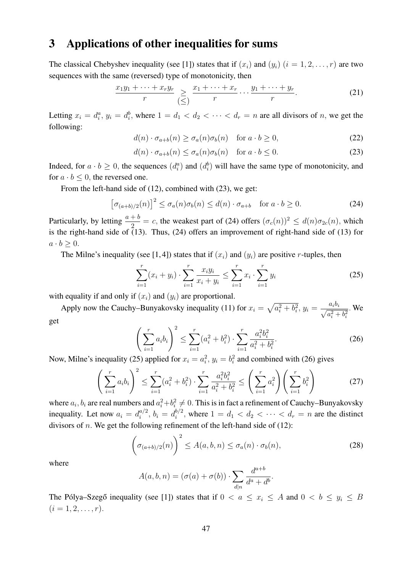## 3 Applications of other inequalities for sums

The classical Chebyshev inequality (see [1]) states that if  $(x_i)$  and  $(y_i)$   $(i = 1, 2, \ldots, r)$  are two sequences with the same (reversed) type of monotonicity, then

$$
\frac{x_1y_1 + \dots + x_ry_r}{r} \geq \frac{x_1 + \dots + x_r}{r} \dots \frac{y_1 + \dots + y_r}{r}.
$$
\n(21)

Letting  $x_i = d_i^a$ ,  $y_i = d_i^b$ , where  $1 = d_1 < d_2 < \cdots < d_r = n$  are all divisors of n, we get the following:

$$
d(n) \cdot \sigma_{a+b}(n) \ge \sigma_a(n)\sigma_b(n) \quad \text{for } a \cdot b \ge 0,
$$
\n<sup>(22)</sup>

$$
d(n) \cdot \sigma_{a+b}(n) \le \sigma_a(n)\sigma_b(n) \quad \text{for } a \cdot b \le 0.
$$
 (23)

Indeed, for  $a \cdot b \ge 0$ , the sequences  $(d_i^a)$  and  $(d_i^b)$  will have the same type of monotonicity, and for  $a \cdot b \leq 0$ , the reversed one.

From the left-hand side of (12), combined with (23), we get:

$$
\left[\sigma_{(a+b)/2}(n)\right]^2 \le \sigma_a(n)\sigma_b(n) \le d(n) \cdot \sigma_{a+b} \quad \text{for } a \cdot b \ge 0. \tag{24}
$$

Particularly, by letting  $\frac{a+b}{2} = c$ , the weakest part of (24) offers  $(\sigma_c(n))^2 \leq d(n)\sigma_{2c}(n)$ , which is the right-hand side of (13). Thus, (24) offers an improvement of right-hand side of (13) for  $a \cdot b > 0$ .

The Milne's inequality (see [1,4]) states that if  $(x_i)$  and  $(y_i)$  are positive r-tuples, then

$$
\sum_{i=1}^{r} (x_i + y_i) \cdot \sum_{i=1}^{r} \frac{x_i y_i}{x_i + y_i} \le \sum_{i=1}^{r} x_i \cdot \sum_{i=1}^{r} y_i
$$
\n(25)

with equality if and only if  $(x_i)$  and  $(y_i)$  are proportional.

Apply now the Cauchy–Bunyakovsky inequality (11) for  $x_i = \sqrt{a_i^2 + b_i^2}$ ,  $y_i = \frac{a_i b_i}{\sqrt{a_i^2 + b_i^2}}$  $a_i^2 + b_i^2$ . We get

$$
\left(\sum_{i=1}^{r} a_i b_i\right)^2 \le \sum_{i=1}^{r} (a_i^2 + b_i^2) \cdot \sum_{i=1}^{r} \frac{a_i^2 b_i^2}{a_i^2 + b_i^2}.
$$
\n(26)

Now, Milne's inequality (25) applied for  $x_i = a_i^2$ ,  $y_i = b_i^2$  and combined with (26) gives

$$
\left(\sum_{i=1}^{r} a_i b_i\right)^2 \le \sum_{i=1}^{r} (a_i^2 + b_i^2) \cdot \sum_{i=1}^{r} \frac{a_i^2 b_i^2}{a_i^2 + b_i^2} \le \left(\sum_{i=1}^{r} a_i^2\right) \left(\sum_{i=1}^{r} b_i^2\right)
$$
\n(27)

where  $a_i, b_i$  are real numbers and  $a_i^2 + b_i^2 \neq 0$ . This is in fact a refinement of Cauchy–Bunyakovsky inequality. Let now  $a_i = d_i^{a/2}$  $a^{(2)}_i, b_i = d^{b/2}_i$  $i^{0/2}$ , where  $1 = d_1 < d_2 < \cdots < d_r = n$  are the distinct divisors of *n*. We get the following refinement of the left-hand side of  $(12)$ :

$$
\left(\sigma_{(a+b)/2}(n)\right)^2 \le A(a,b,n) \le \sigma_a(n) \cdot \sigma_b(n),\tag{28}
$$

where

$$
A(a,b,n) = (\sigma(a) + \sigma(b)) \cdot \sum_{d|n} \frac{d^{a+b}}{d^a + d^b}.
$$

The Pólya–Szegő inequality (see [1]) states that if  $0 < a \leq x_i \leq A$  and  $0 < b \leq y_i \leq B$  $(i = 1, 2, \ldots, r).$